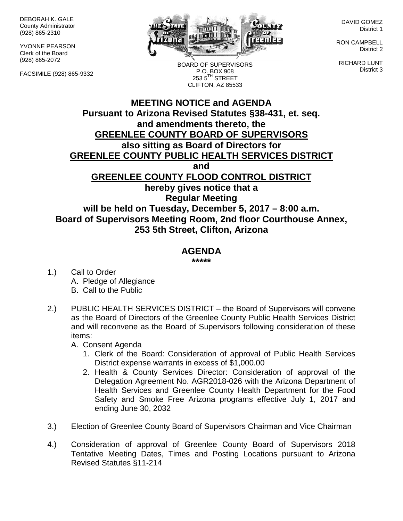DEBORAH K. GALE County Administrator (928) 865-2310

YVONNE PEARSON Clerk of the Board (928) 865-2072

FACSIMILE (928) 865-9332



DAVID GOMEZ District 1

RON CAMPBELL District 2

RICHARD LUNT District 3

BOARD OF SUPERVISORS P.O. BOX 908  $2535^{\text{TH}}$  STREET CLIFTON, AZ 85533

## **MEETING NOTICE and AGENDA Pursuant to Arizona Revised Statutes §38-431, et. seq. and amendments thereto, the GREENLEE COUNTY BOARD OF SUPERVISORS also sitting as Board of Directors for GREENLEE COUNTY PUBLIC HEALTH SERVICES DISTRICT and GREENLEE COUNTY FLOOD CONTROL DISTRICT hereby gives notice that a Regular Meeting will be held on Tuesday, December 5, 2017 – 8:00 a.m. Board of Supervisors Meeting Room, 2nd floor Courthouse Annex, 253 5th Street, Clifton, Arizona**

## **AGENDA**

**\*\*\*\*\***

- 1.) Call to Order A. Pledge of Allegiance B. Call to the Public
- 2.) PUBLIC HEALTH SERVICES DISTRICT the Board of Supervisors will convene as the Board of Directors of the Greenlee County Public Health Services District and will reconvene as the Board of Supervisors following consideration of these items:

A. Consent Agenda

- 1. Clerk of the Board: Consideration of approval of Public Health Services District expense warrants in excess of \$1,000.00
- 2. Health & County Services Director: Consideration of approval of the Delegation Agreement No. AGR2018-026 with the Arizona Department of Health Services and Greenlee County Health Department for the Food Safety and Smoke Free Arizona programs effective July 1, 2017 and ending June 30, 2032
- 3.) Election of Greenlee County Board of Supervisors Chairman and Vice Chairman
- 4.) Consideration of approval of Greenlee County Board of Supervisors 2018 Tentative Meeting Dates, Times and Posting Locations pursuant to Arizona Revised Statutes §11-214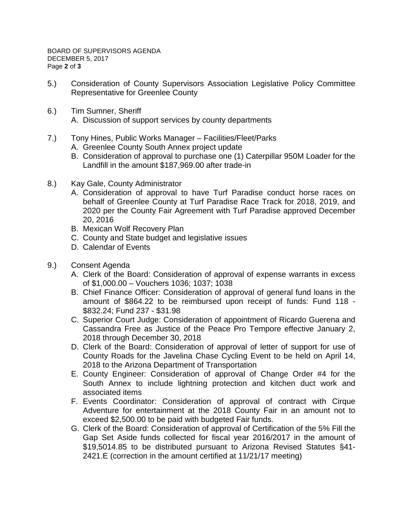- 5.) Consideration of County Supervisors Association Legislative Policy Committee Representative for Greenlee County
- 6.) Tim Sumner, Sheriff A. Discussion of support services by county departments
- 7.) Tony Hines, Public Works Manager Facilities/Fleet/Parks
	- A. Greenlee County South Annex project update
	- B. Consideration of approval to purchase one (1) Caterpillar 950M Loader for the Landfill in the amount \$187,969.00 after trade-in
- 8.) Kay Gale, County Administrator
	- A. Consideration of approval to have Turf Paradise conduct horse races on behalf of Greenlee County at Turf Paradise Race Track for 2018, 2019, and 2020 per the County Fair Agreement with Turf Paradise approved December 20, 2016
	- B. Mexican Wolf Recovery Plan
	- C. County and State budget and legislative issues
	- D. Calendar of Events
- 9.) Consent Agenda
	- A. Clerk of the Board: Consideration of approval of expense warrants in excess of \$1,000.00 – Vouchers 1036; 1037; 1038
	- B. Chief Finance Officer: Consideration of approval of general fund loans in the amount of \$864.22 to be reimbursed upon receipt of funds: Fund 118 - \$832.24; Fund 237 - \$31.98
	- C. Superior Court Judge: Consideration of appointment of Ricardo Guerena and Cassandra Free as Justice of the Peace Pro Tempore effective January 2, 2018 through December 30, 2018
	- D. Clerk of the Board: Consideration of approval of letter of support for use of County Roads for the Javelina Chase Cycling Event to be held on April 14, 2018 to the Arizona Department of Transportation
	- E. County Engineer: Consideration of approval of Change Order #4 for the South Annex to include lightning protection and kitchen duct work and associated items
	- F. Events Coordinator: Consideration of approval of contract with Cirque Adventure for entertainment at the 2018 County Fair in an amount not to exceed \$2,500.00 to be paid with budgeted Fair funds.
	- G. Clerk of the Board: Consideration of approval of Certification of the 5% Fill the Gap Set Aside funds collected for fiscal year 2016/2017 in the amount of \$19,5014.85 to be distributed pursuant to Arizona Revised Statutes §41- 2421.E (correction in the amount certified at 11/21/17 meeting)